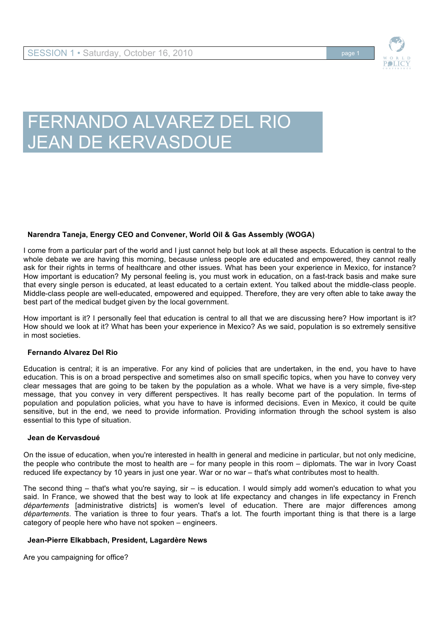

# FERNANDO ALVAREZ DEL RIO **JEAN DE KERVASDOUE**

# **Narendra Taneja, Energy CEO and Convener, World Oil & Gas Assembly (WOGA)**

I come from a particular part of the world and I just cannot help but look at all these aspects. Education is central to the whole debate we are having this morning, because unless people are educated and empowered, they cannot really ask for their rights in terms of healthcare and other issues. What has been your experience in Mexico, for instance? How important is education? My personal feeling is, you must work in education, on a fast-track basis and make sure that every single person is educated, at least educated to a certain extent. You talked about the middle-class people. Middle-class people are well-educated, empowered and equipped. Therefore, they are very often able to take away the best part of the medical budget given by the local government.

How important is it? I personally feel that education is central to all that we are discussing here? How important is it? How should we look at it? What has been your experience in Mexico? As we said, population is so extremely sensitive in most societies.

# **Fernando Alvarez Del Rio**

Education is central; it is an imperative. For any kind of policies that are undertaken, in the end, you have to have education. This is on a broad perspective and sometimes also on small specific topics, when you have to convey very clear messages that are going to be taken by the population as a whole. What we have is a very simple, five-step message, that you convey in very different perspectives. It has really become part of the population. In terms of population and population policies, what you have to have is informed decisions. Even in Mexico, it could be quite sensitive, but in the end, we need to provide information. Providing information through the school system is also essential to this type of situation.

## **Jean de Kervasdoué**

On the issue of education, when you're interested in health in general and medicine in particular, but not only medicine, the people who contribute the most to health are – for many people in this room – diplomats. The war in Ivory Coast reduced life expectancy by 10 years in just one year. War or no war – that's what contributes most to health.

The second thing – that's what you're saying, sir – is education. I would simply add women's education to what you said. In France, we showed that the best way to look at life expectancy and changes in life expectancy in French départements [administrative districts] is women's level of education. There are major differences among *départements*. The variation is three to four years. That's a lot. The fourth important thing is that there is a large category of people here who have not spoken – engineers.

## **Jean-Pierre Elkabbach, President, Lagardère News**

Are you campaigning for office?